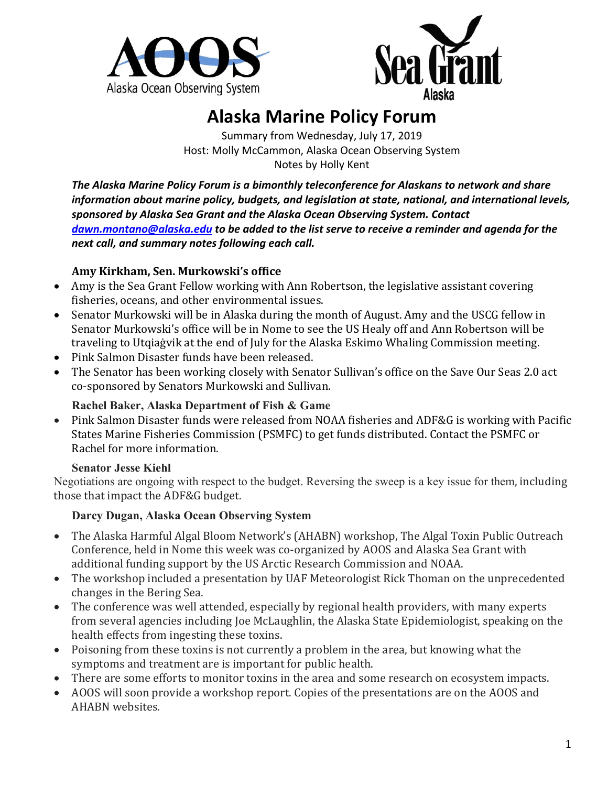



# **Alaska Marine Policy Forum**

Summary from Wednesday, July 17, 2019 Host: Molly McCammon, Alaska Ocean Observing System Notes by Holly Kent

*The Alaska Marine Policy Forum is a bimonthly teleconference for Alaskans to network and share information about marine policy, budgets, and legislation at state, national, and international levels, sponsored by Alaska Sea Grant and the Alaska Ocean Observing System. Contact dawn.montano@alaska.edu to be added to the list serve to receive a reminder and agenda for the next call, and summary notes following each call.* 

### **Amy Kirkham, Sen. Murkowski's office**

- Amy is the Sea Grant Fellow working with Ann Robertson, the legislative assistant covering fisheries, oceans, and other environmental issues.
- Senator Murkowski will be in Alaska during the month of August. Amy and the USCG fellow in Senator Murkowski's office will be in Nome to see the US Healy off and Ann Robertson will be traveling to Utqiagvik at the end of July for the Alaska Eskimo Whaling Commission meeting.
- Pink Salmon Disaster funds have been released.
- The Senator has been working closely with Senator Sullivan's office on the Save Our Seas 2.0 act co-sponsored by Senators Murkowski and Sullivan.

### **Rachel Baker, Alaska Department of Fish & Game**

• Pink Salmon Disaster funds were released from NOAA fisheries and ADF&G is working with Pacific States Marine Fisheries Commission (PSMFC) to get funds distributed. Contact the PSMFC or Rachel for more information.

### **Senator Jesse Kiehl**

Negotiations are ongoing with respect to the budget. Reversing the sweep is a key issue for them, including those that impact the ADF&G budget.

### **Darcy Dugan, Alaska Ocean Observing System**

- The Alaska Harmful Algal Bloom Network's (AHABN) workshop, The Algal Toxin Public Outreach Conference, held in Nome this week was co-organized by AOOS and Alaska Sea Grant with additional funding support by the US Arctic Research Commission and NOAA.
- The workshop included a presentation by UAF Meteorologist Rick Thoman on the unprecedented changes in the Bering Sea.
- The conference was well attended, especially by regional health providers, with many experts from several agencies including Joe McLaughlin, the Alaska State Epidemiologist, speaking on the health effects from ingesting these toxins.
- Poisoning from these toxins is not currently a problem in the area, but knowing what the symptoms and treatment are is important for public health.
- There are some efforts to monitor toxins in the area and some research on ecosystem impacts.
- AOOS will soon provide a workshop report. Copies of the presentations are on the AOOS and AHABN websites.